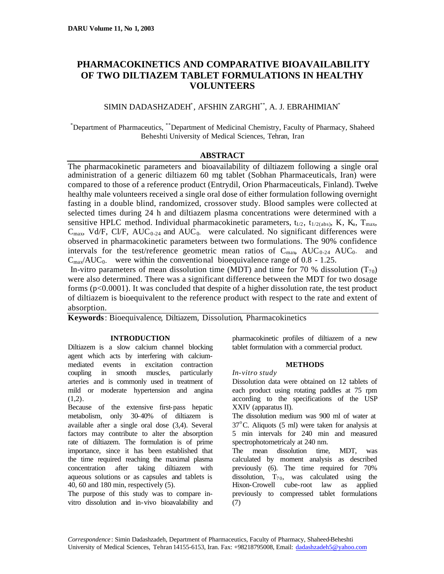# **PHARMACOKINETICS AND COMPARATIVE BIOAVAILABILITY OF TWO DILTIAZEM TABLET FORMULATIONS IN HEALTHY VOLUNTEERS**

# SIMIN DADASHZADEH\* , AFSHIN ZARGHI\*\*, A. J. EBRAHIMIAN\*

\*Department of Pharmaceutics, \*\*Department of Medicinal Chemistry, Faculty of Pharmacy, Shaheed Beheshti University of Medical Sciences, Tehran, Iran

# **ABSTRACT**

The pharmacokinetic parameters and bioavailability of diltiazem following a single oral administration of a generic diltiazem 60 mg tablet (Sobhan Pharmaceuticals, Iran) were compared to those of a reference product (Entrydil, Orion Pharmaceuticals, Finland). Twelve healthy male volunteers received a single oral dose of either formulation following overnight fasting in a double blind, randomized, crossover study. Blood samples were collected at selected times during 24 h and diltiazem plasma concentrations were determined with a sensitive HPLC method. Individual pharmacokinetic parameters,  $t_{1/2}$ ,  $t_{1/2,\text{(abs)}}$ , K, K<sub>a</sub>, T<sub>max</sub>,  $C_{\text{max}}$ , Vd/F, Cl/F, AUC<sub>0-24</sub> and AUC<sub>0</sub> were calculated. No significant differences were observed in pharmacokinetic parameters between two formulations. The 90% confidence intervals for the test/reference geometric mean ratios of  $C_{\text{max}}$ ,  $AUC_{0.24}$ ,  $AUC_{0.24}$  and  $C_{\text{max}}/AUC_0$  were within the conventional bioequivalence range of 0.8 - 1.25.

In-vitro parameters of mean dissolution time (MDT) and time for 70 % dissolution ( $T_{70}$ ) were also determined. There was a significant difference between the MDT for two dosage forms (p<0.0001). It was concluded that despite of a higher dissolution rate, the test product of diltiazem is bioequivalent to the reference product with respect to the rate and extent of absorption.

**Keywords**: Bioequivalence, Diltiazem, Dissolution, Pharmacokinetics

## **INTRODUCTION**

Diltiazem is a slow calcium channel blocking agent which acts by interfering with calciummediated events in excitation contraction coupling in smooth muscles, particularly arteries and is commonly used in treatment of mild or moderate hypertension and angina  $(1,2)$ .

Because of the extensive first-pass hepatic metabolism, only 30-40% of diltiazem is available after a single oral dose (3,4). Several factors may contribute to alter the absorption rate of diltiazem. The formulation is of prime importance, since it has been established that the time required reaching the maximal plasma concentration after taking diltiazem with aqueous solutions or as capsules and tablets is 40, 60 and 180 min, respectively (5).

The purpose of this study was to compare invitro dissolution and in-vivo bioavalability and pharmacokinetic profiles of diltiazem of a new tablet formulation with a commercial product.

## **METHODS**

#### *In-vitro study*

Dissolution data were obtained on 12 tablets of each product using rotating paddles at 75 rpm according to the specifications of the USP XXIV (apparatus II).

The dissolution medium was 900 ml of water at  $37^{\circ}$ C. Aliquots (5 ml) were taken for analysis at 5 min intervals for 240 min and measured spectrophotometricaly at 240 nm.

The mean dissolution time, MDT, was calculated by moment analysis as described previously (6). The time required for 70% dissolution,  $T_{70}$ , was calculated using the Hixon-Crowell cube-root law as applied previously to compressed tablet formulations (7)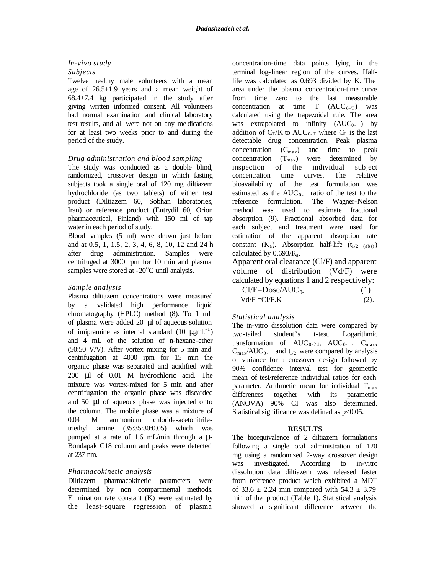# *In-vivo study Subjects*

Twelve healthy male volunteers with a mean age of  $26.5 \pm 1.9$  years and a mean weight of  $68.4\pm7.4$  kg participated in the study after giving written informed consent. All volunteers had normal examination and clinical laboratory test results, and all were not on any me dications for at least two weeks prior to and during the period of the study.

## *Drug administration and blood sampling*

The study was conducted as a double blind, randomized, crossover design in which fasting subjects took a single oral of 120 mg diltiazem hydrochloride (as two tablets) of either test product (Diltiazem 60, Sobhan laboratories, Iran) or reference product (Entrydil 60, Orion pharmaceutical, Finland) with 150 ml of tap water in each period of study.

Blood samples (5 ml) were drawn just before and at 0.5, 1, 1.5, 2, 3, 4, 6, 8, 10, 12 and 24 h after drug administration. Samples were centrifuged at 3000 rpm for 10 min and plasma samples were stored at  $-20^{\circ}$ C until analysis.

#### *Sample analysis*

Plasma diltiazem concentrations were measured by a validated high performance liquid chromatography (HPLC) method (8). To 1 mL of plasma were added 20 μl of aqueous solution of imipramine as internal standard  $(10 \text{ µgmL}^{-1})$ and 4 mL of the solution of n-hexane-ether (50:50 V/V). After vortex mixing for 5 min and centrifugation at 4000 rpm for 15 min the organic phase was separated and acidified with 200 μl of 0.01 M hydrochloric acid. The mixture was vortex-mixed for 5 min and after centrifugation the organic phase was discarded and 50 μl of aqueous phase was injected onto the column. The mobile phase was a mixture of 0.04 M ammonium chloride-acetonitriletriethyl amine (35:35:30:0.05) which was pumped at a rate of 1.6 mL/min through a μ-Bondapak C18 column and peaks were detected at 237 nm.

## *Pharmacokinetic analysis*

Diltiazem pharmacokinetic parameters were determined by non compartmental methods. Elimination rate constant (K) were estimated by the least-square regression of plasma

concentration-time data points lying in the terminal log-linear region of the curves. Halflife was calculated as 0.693 divided by K. The area under the plasma concentration-time curve from time zero to the last measurable concentration at time  $T$  (AUC<sub>0-T</sub>) was calculated using the trapezoidal rule. The area was extrapolated to infinity  $(AUC_0)$  by addition of  $C_T/K$  to  $AUC_{0-T}$  where  $C_T$  is the last detectable drug concentration. Peak plasma concentration  $(C_{\text{max}})$  and time to peak concentration  $(T_{max})$  were determined by inspection of the individual subject concentration time curves. The relative bioavailability of the test formulation was estimated as the  $AUC_0$ . ratio of the test to the reference formulation. The Wagner-Nelson method was used to estimate fractional absorption (9). Fractional absorbed data for each subject and treatment were used for estimation of the apparent absorption rate constant  $(K_a)$ . Absorption half-life  $(t_{1/2-(abs)})$ calculated by  $0.693/K_a$ .

Apparent oral clearance (Cl/F) and apparent volume of distribution (Vd/F) were calculated by equations 1 and 2 respectively:

| $Cl/F=Does/AUC_0$ . | (1)  |
|---------------------|------|
| $Vd/F = Cl/F.K$     | (2). |

## *Statistical analysis*

The in-vitro dissolution data were compared by two-tailed student's t-test. Logarithmic transformation of  $AUC_{0-24}$ ,  $AUC_{0-}$ ,  $C_{\text{max}}$ ,  $C_{\text{max}}/AUC_0$  and  $t_{1/2}$  were compared by analysis of variance for a crossover design followed by 90% confidence interval test for geometric mean of test/reference individual ratios for each parameter. Arithmetic mean for individual  $T_{\text{max}}$ differences together with its parametric (ANOVA) 90% CI was also determined. Statistical significance was defined as  $p<0.05$ .

#### **RESULTS**

The bioequivalence of 2 diltiazem formulations following a single oral administration of 120 mg using a randomized 2-way crossover design was investigated. According to in-vitro dissolution data diltiazem was released faster from reference product which exhibited a MDT of  $33.6 \pm 2.24$  min compared with  $54.3 \pm 3.79$ min of the product (Table 1). Statistical analysis showed a significant difference between the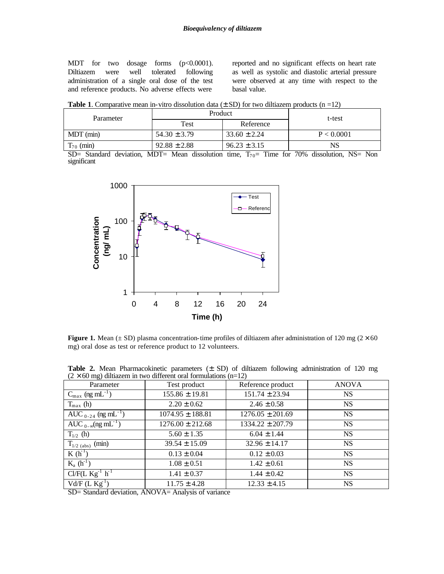MDT for two dosage forms (p<0.0001). Diltiazem were well tolerated following administration of a single oral dose of the test and reference products. No adverse effects were

reported and no significant effects on heart rate as well as systolic and diastolic arterial pressure were observed at any time with respect to the basal value.

**Table 1**. Comparative mean in-vitro dissolution data  $(\pm SD)$  for two diltiazem products  $(n = 12)$ 

| Parameter               | Product                      |                  | t-test                                                       |
|-------------------------|------------------------------|------------------|--------------------------------------------------------------|
|                         | Test                         | Reference        |                                                              |
| $MDT$ (min)             | $54.30 \pm 3.79$             | $33.60 \pm 2.24$ | P < 0.0001                                                   |
| $T_{70}$ (min)          | $92.88 \pm 2.88$             | $96.23 \pm 3.15$ | NS                                                           |
| $\sim$ $\sim$<br>$\sim$ | $\mathbf{r}$<br>$\mathbf{r}$ | $\sim$<br>$\sim$ | $\overline{\phantom{a}}$<br>T T T<br>$\cdot$<br>$\mathbf{v}$ |

SD= Standard deviation, MDT= Mean dissolution time,  $T_{70}$ = Time for 70% dissolution, NS= Non significant



**Figure 1.** Mean ( $\pm$  SD) plasma concentration-time profiles of diltiazem after administration of 120 mg ( $2 \times 60$ ) mg) oral dose as test or reference product to 12 volunteers.

**Table 2.** Mean Pharmacokinetic parameters (± SD) of diltiazem following administration of 120 mg  $(2 \times 60 \text{ mg})$  diltiazem in two different oral formulations (n=12)

| $\epsilon$ $\sim$ 00 mg/ enderein in two enforcing order commutations (if $\epsilon$ is $\epsilon$ ) |                      |                      |              |  |
|------------------------------------------------------------------------------------------------------|----------------------|----------------------|--------------|--|
| Parameter                                                                                            | Test product         | Reference product    | <b>ANOVA</b> |  |
| $C_{\text{max}}$ (ng mL <sup>-1</sup> )                                                              | $155.86 \pm 19.81$   | $151.74 \pm 23.94$   | <b>NS</b>    |  |
| $T_{\text{max}}$ (h)                                                                                 | $2.20 \pm 0.62$      | $2.46 \pm 0.58$      | <b>NS</b>    |  |
| AUC $_{0-24}$ (ng mL <sup>-1</sup> )                                                                 | $1074.95 \pm 188.81$ | $1276.05 \pm 201.69$ | <b>NS</b>    |  |
| AUC $_{0-\infty}$ (ng mL <sup>-1</sup> )                                                             | $1276.00 \pm 212.68$ | $1334.22 \pm 207.79$ | <b>NS</b>    |  |
| $T_{1/2}$ (h)                                                                                        | $5.60 \pm 1.35$      | $6.04 \pm 1.44$      | <b>NS</b>    |  |
| $T_{1/2 \text{ (abs)}}$ (min)                                                                        | $39.54 \pm 15.09$    | $32.96 \pm 14.17$    | <b>NS</b>    |  |
| $K(h^{-1})$                                                                                          | $0.13 \pm 0.04$      | $0.12 \pm 0.03$      | <b>NS</b>    |  |
| $K_a(h^{-1})$                                                                                        | $1.08 \pm 0.51$      | $1.42 \pm 0.61$      | <b>NS</b>    |  |
| $Cl/F(L Kg^{-1} h^{-1})$                                                                             | $1.41 \pm 0.37$      | $1.44 \pm 0.42$      | <b>NS</b>    |  |
| $Vd/F$ (L $Kg-1$ )                                                                                   | $11.75 \pm 4.28$     | $12.33 \pm 4.15$     | <b>NS</b>    |  |

SD= Standard deviation, ANOVA= Analysis of variance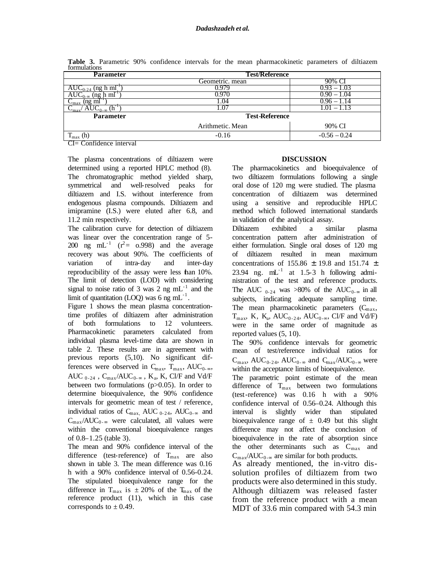| ----------------<br><b>Parameter</b>                                    | <b>Test/Reference</b> |                 |  |
|-------------------------------------------------------------------------|-----------------------|-----------------|--|
|                                                                         | Geometric. mean       | 90% Cl          |  |
| h ml<br>AUC                                                             |                       | $-1.03$<br>1.93 |  |
| h ml<br>(ng                                                             |                       | ).90 – 1.04     |  |
| $C_{\text{max}}$ (ng ml                                                 | .04                   |                 |  |
| $\text{AUC}_{0-\infty}$ (h <sup>-1</sup> )<br>$\mathbf{v}_{\text{max}}$ |                       | .OT<br>$-1.13$  |  |
| <b>Parameter</b>                                                        | <b>Test-Reference</b> |                 |  |
|                                                                         | Arithmetic. Mean      | 90% CI          |  |
| $T_{\rm max}$ (h)                                                       | $-0.16$               | $-0.56 - 0.24$  |  |

**Table 3.** Parametric 90% confidence intervals for the mean pharmacokinetic parameters of diltiazem formulations

CI= Confidence interval

The plasma concentrations of diltiazem were determined using a reported HPLC method (8). The chromatographic method yielded sharp, symmetrical and well-resolved peaks for diltiazem and I.S. without interference from endogenous plasma compounds. Diltiazem and imipramine (I.S.) were eluted after 6.8, and 11.2 min respectively.

The calibration curve for detection of diltiazem was linear over the concentration range of 5- 200 ng mL<sup>-1</sup> ( $r^2$ = 0.998) and the average recovery was about 90%. The coefficients of variation of intra-day and inter-day reproducibility of the assay were less than 10%. The limit of detection (LOD) with considering signal to noise ratio of 3 was 2 ng  $mL^{-1}$  and the limit of quantitation (LOQ) was 6 ng mL $^{-1}$ .

Figure 1 shows the mean plasma concentrationtime profiles of diltiazem after administration of both formulations to 12 volunteers. Pharmacokinetic parameters calculated from individual plasma level-time data are shown in table 2. These results are in agreement with previous reports (5,10). No significant differences were observed in  $C_{\text{max}}$ ,  $T_{\text{max}}$ , AUC<sub>0-∞</sub>, AUC  $_{0-24}$ , C<sub>max</sub>/AUC<sub>0-∞</sub>, K<sub>a</sub>, K, Cl/F and Vd/F between two formulations (p>0.05). In order to determine bioequivalence, the 90% confidence intervals for geometric mean of test / reference, individual ratios of  $C_{\text{max}}$ , AUC <sub>0-24</sub>, AUC<sub>0-∞</sub> and  $C_{\text{max}}/AUC_{0-\infty}$  were calculated, all values were within the conventional bioequivalence ranges of 0.8–1.25 (table 3).

The mean and 90% confidence interval of the difference (test-reference) of  $T_{\text{max}}$  are also shown in table 3. The mean difference was 0.16 h with a 90% confidence interval of 0.56-0.24. The stipulated bioequivalence range for the difference in  $T_{max}$  is  $\pm 20\%$  of the  $T_{max}$  of the reference product (11), which in this case corresponds to  $\pm$  0.49.

#### **DISCUSSION**

The pharmacokinetics and bioequivalence of two diltiazem formulations following a single oral dose of 120 mg were studied. The plasma concentration of diltiazem was determined using a sensitive and reproducible HPLC method which followed international standards in validation of the analytical assay.

Diltiazem exhibited a similar plasma concentration pattern after administration of either formulation. Single oral doses of 120 mg of diltiazem resulted in mean maximum concentrations of 155.86  $\pm$  19.8 and 151.74  $\pm$ 23.94 ng.  $mL^{-1}$  at 1.5-3 h following administration of the test and reference products. The AUC  $_{0-24}$  was >80% of the AUC $_{0-8}$  in all subjects, indicating adequate sampling time. The mean pharmacokinetic parameters  $(C_{\text{max}})$ ,  $T_{\text{max}}$ , K, K<sub>a</sub>, AUC<sub>0-24</sub>, AUC<sub>0-∞</sub>, Cl/F and Vd/F) were in the same order of magnitude as reported values (5, 10).

The 90% confidence intervals for geometric mean of test/reference individual ratios for  $C_{\text{max}}$ , AUC<sub>0-24</sub>, AUC<sub>0-∞</sub> and  $C_{\text{max}}$ /AUC<sub>0-∞</sub> were within the acceptance limits of bioequivalence.

The parametric point estimate of the mean difference of  $T_{\text{max}}$  between two formulations (test-reference) was 0.16 h with a 90% confidence interval of 0.56–0.24. Although this interval is slightly wider than stipulated bioequivalence range of  $\pm$  0.49 but this slight difference may not affect the conclusion of bioequivalence in the rate of absorption since the other determinants such as  $C_{\text{max}}$  and  $C_{\text{max}}/AUC_{0-\infty}$  are similar for both products.

As already mentioned, the in-vitro dissolution profiles of diltiazem from two products were also determined in this study. Although diltiazem was released faster from the reference product with a mean MDT of 33.6 min compared with 54.3 min